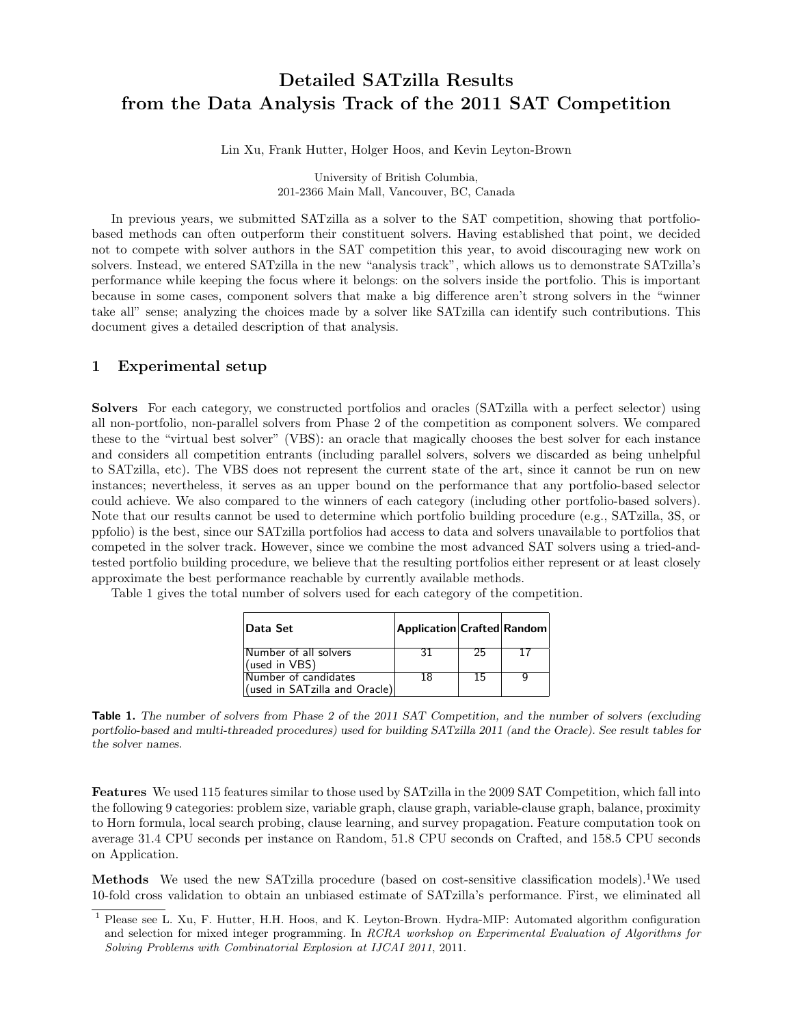# Detailed SATzilla Results from the Data Analysis Track of the 2011 SAT Competition

Lin Xu, Frank Hutter, Holger Hoos, and Kevin Leyton-Brown

University of British Columbia, 201-2366 Main Mall, Vancouver, BC, Canada

In previous years, we submitted SATzilla as a solver to the SAT competition, showing that portfoliobased methods can often outperform their constituent solvers. Having established that point, we decided not to compete with solver authors in the SAT competition this year, to avoid discouraging new work on solvers. Instead, we entered SATzilla in the new "analysis track", which allows us to demonstrate SATzilla's performance while keeping the focus where it belongs: on the solvers inside the portfolio. This is important because in some cases, component solvers that make a big difference aren't strong solvers in the "winner take all" sense; analyzing the choices made by a solver like SATzilla can identify such contributions. This document gives a detailed description of that analysis.

## 1 Experimental setup

Solvers For each category, we constructed portfolios and oracles (SATzilla with a perfect selector) using all non-portfolio, non-parallel solvers from Phase 2 of the competition as component solvers. We compared these to the "virtual best solver" (VBS): an oracle that magically chooses the best solver for each instance and considers all competition entrants (including parallel solvers, solvers we discarded as being unhelpful to SATzilla, etc). The VBS does not represent the current state of the art, since it cannot be run on new instances; nevertheless, it serves as an upper bound on the performance that any portfolio-based selector could achieve. We also compared to the winners of each category (including other portfolio-based solvers). Note that our results cannot be used to determine which portfolio building procedure (e.g., SATzilla, 3S, or ppfolio) is the best, since our SATzilla portfolios had access to data and solvers unavailable to portfolios that competed in the solver track. However, since we combine the most advanced SAT solvers using a tried-andtested portfolio building procedure, we believe that the resulting portfolios either represent or at least closely approximate the best performance reachable by currently available methods.

Table 1 gives the total number of solvers used for each category of the competition.

| <b>Data Set</b>                                               | Application Crafted Random |    |  |
|---------------------------------------------------------------|----------------------------|----|--|
| Number of all solvers<br>(used in VBS)                        | 31                         | 25 |  |
| Number of candidates<br>$ $ (used in SATzilla and Oracle) $ $ | 18                         | 15 |  |

Table 1. The number of solvers from Phase 2 of the 2011 SAT Competition, and the number of solvers (excluding portfolio-based and multi-threaded procedures) used for building SATzilla 2011 (and the Oracle). See result tables for the solver names.

Features We used 115 features similar to those used by SATzilla in the 2009 SAT Competition, which fall into the following 9 categories: problem size, variable graph, clause graph, variable-clause graph, balance, proximity to Horn formula, local search probing, clause learning, and survey propagation. Feature computation took on average 31.4 CPU seconds per instance on Random, 51.8 CPU seconds on Crafted, and 158.5 CPU seconds on Application.

Methods We used the new SATzilla procedure (based on cost-sensitive classification models).<sup>1</sup>We used 10-fold cross validation to obtain an unbiased estimate of SATzilla's performance. First, we eliminated all

<sup>1</sup> Please see L. Xu, F. Hutter, H.H. Hoos, and K. Leyton-Brown. Hydra-MIP: Automated algorithm configuration and selection for mixed integer programming. In RCRA workshop on Experimental Evaluation of Algorithms for Solving Problems with Combinatorial Explosion at IJCAI 2011, 2011.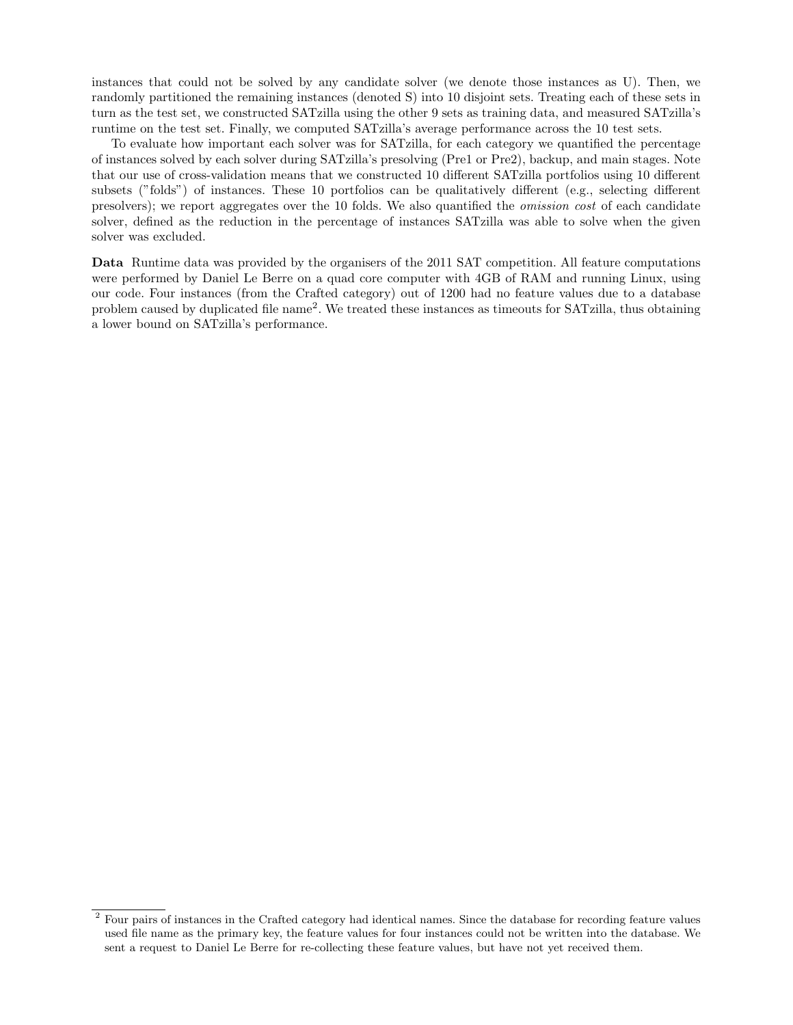instances that could not be solved by any candidate solver (we denote those instances as U). Then, we randomly partitioned the remaining instances (denoted S) into 10 disjoint sets. Treating each of these sets in turn as the test set, we constructed SATzilla using the other 9 sets as training data, and measured SATzilla's runtime on the test set. Finally, we computed SATzilla's average performance across the 10 test sets.

To evaluate how important each solver was for SATzilla, for each category we quantified the percentage of instances solved by each solver during SATzilla's presolving (Pre1 or Pre2), backup, and main stages. Note that our use of cross-validation means that we constructed 10 different SATzilla portfolios using 10 different subsets ("folds") of instances. These 10 portfolios can be qualitatively different (e.g., selecting different presolvers); we report aggregates over the 10 folds. We also quantified the omission cost of each candidate solver, defined as the reduction in the percentage of instances SATzilla was able to solve when the given solver was excluded.

Data Runtime data was provided by the organisers of the 2011 SAT competition. All feature computations were performed by Daniel Le Berre on a quad core computer with 4GB of RAM and running Linux, using our code. Four instances (from the Crafted category) out of 1200 had no feature values due to a database problem caused by duplicated file name<sup>2</sup>. We treated these instances as timeouts for SATzilla, thus obtaining a lower bound on SATzilla's performance.

<sup>&</sup>lt;sup>2</sup> Four pairs of instances in the Crafted category had identical names. Since the database for recording feature values used file name as the primary key, the feature values for four instances could not be written into the database. We sent a request to Daniel Le Berre for re-collecting these feature values, but have not yet received them.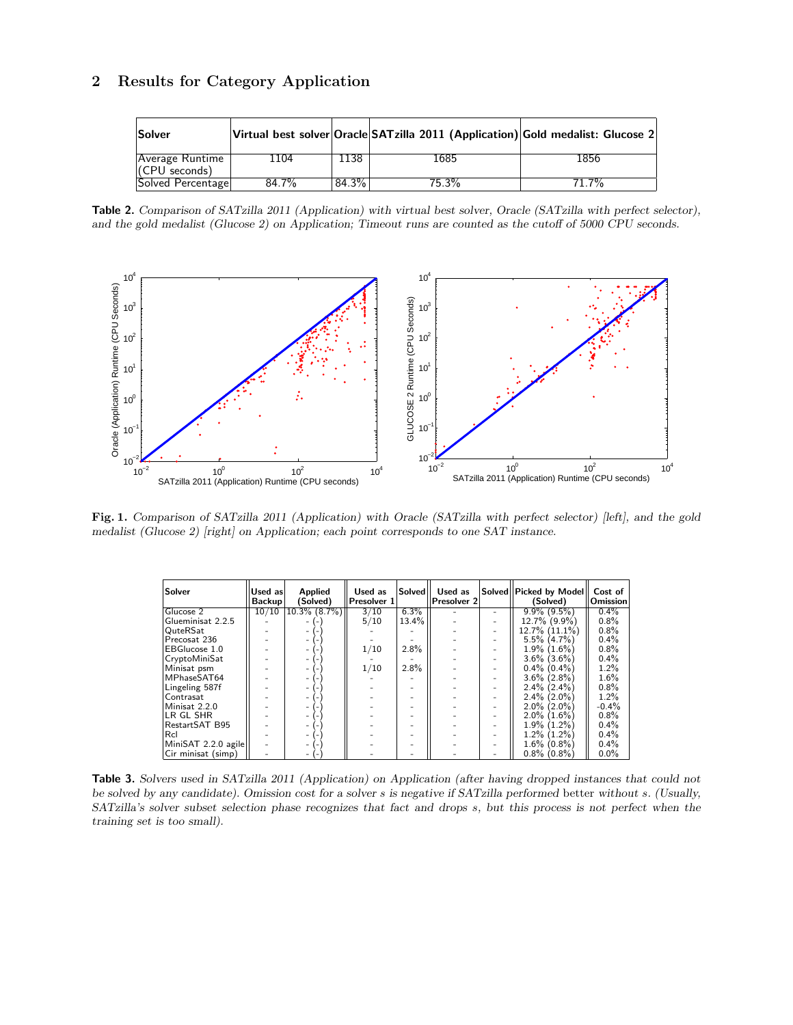## 2 Results for Category Application

| Solver             |          |          | Virtual best solver Oracle SATzilla 2011 (Application) Gold medalist: Glucose 2 |          |
|--------------------|----------|----------|---------------------------------------------------------------------------------|----------|
| $ Average$ Runtime | 1104     | 1138     | 1685                                                                            | 1856     |
| $ $ (CPU seconds)  |          |          |                                                                                 |          |
| Solved Percentage  | $84.7\%$ | $84.3\%$ | $75.\overline{3\%}$                                                             | $71.7\%$ |

Table 2. Comparison of SATzilla 2011 (Application) with virtual best solver, Oracle (SATzilla with perfect selector), and the gold medalist (Glucose 2) on Application; Timeout runs are counted as the cutoff of 5000 CPU seconds.



Fig. 1. Comparison of SATzilla 2011 (Application) with Oracle (SATzilla with perfect selector) [left], and the gold medalist (Glucose 2) [right] on Application; each point corresponds to one SAT instance.

| Solver              | Used as<br><b>Backup</b> | <b>Applied</b><br>(Solved) | Used as<br>Presolver 1 | Solved   | Used as<br>Presolver 2 | Solved Picked by Model<br>(Solved) | Cost of<br><b>Omission</b> |
|---------------------|--------------------------|----------------------------|------------------------|----------|------------------------|------------------------------------|----------------------------|
| Glucose 2           | 10/10                    | $10.3\%$ $(8.7\%)$         | 3/10                   | 6.3%     |                        | $9.9\%$ $(9.5\%)$                  | $0.4\%$                    |
| Glueminisat 2.2.5   |                          |                            | 5/10                   | $13.4\%$ |                        | 12.7% (9.9%)                       | $0.8\%$                    |
| QuteRSat            |                          |                            |                        |          |                        | $12.7\%$ $(11.1\%)$                | $0.8\%$                    |
| Precosat 236        |                          |                            |                        |          |                        | $5.5\%$ (4.7%)                     | $0.4\%$                    |
| EBGlucose 1.0       |                          |                            | 1/10                   | 2.8%     |                        | $1.9\%$ (1.6%)                     | $0.8\%$                    |
| CryptoMiniSat       |                          |                            |                        |          |                        | $3.6\%$ $(3.6\%)$                  | $0.4\%$                    |
| Minisat psm         |                          |                            | 1/10                   | 2.8%     |                        | $0.4\%$ (0.4%)                     | $1.2\%$                    |
| MPhaseSAT64         |                          |                            |                        |          |                        | $3.6\%$ (2.8%)                     | 1.6%                       |
| Lingeling 587f      |                          |                            |                        |          |                        | $2.4\%$ (2.4%)                     | $0.8\%$                    |
| Contrasat           |                          |                            |                        |          |                        | $2.4\%$ (2.0%)                     | 1.2%                       |
| Minisat 2.2.0       |                          |                            |                        |          |                        | $2.0\%$ (2.0%)                     | $-0.4%$                    |
| ILR GL SHR          |                          |                            |                        |          |                        | $2.0\%$ (1.6%)                     | $0.8\%$                    |
| RestartSAT B95      |                          |                            |                        |          |                        | $1.9\%$ $(1.2\%)$                  | $0.4\%$                    |
| Rcl                 |                          |                            |                        |          |                        | $1.2\%$ $(1.2\%)$                  | $0.4\%$                    |
| MiniSAT 2.2.0 agile |                          |                            |                        |          |                        | $1.6\%$ (0.8%)                     | $0.4\%$                    |
| Cir minisat (simp)  |                          |                            |                        |          |                        | $0.8\%$ (0.8%)                     | $0.0\%$                    |

Table 3. Solvers used in SATzilla 2011 (Application) on Application (after having dropped instances that could not be solved by any candidate). Omission cost for a solver s is negative if SATzilla performed better without s. (Usually, SATzilla's solver subset selection phase recognizes that fact and drops s, but this process is not perfect when the training set is too small).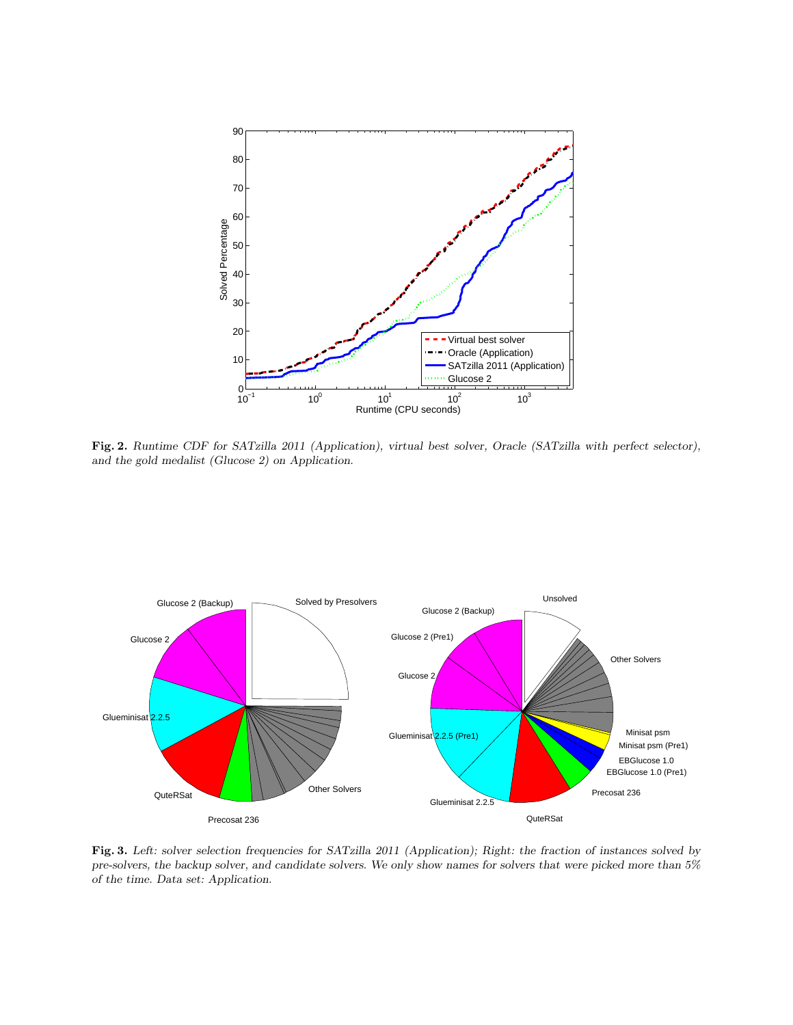

Fig. 2. Runtime CDF for SATzilla 2011 (Application), virtual best solver, Oracle (SATzilla with perfect selector), and the gold medalist (Glucose 2) on Application.



Fig. 3. Left: solver selection frequencies for SATzilla 2011 (Application); Right: the fraction of instances solved by pre-solvers, the backup solver, and candidate solvers. We only show names for solvers that were picked more than 5% of the time. Data set: Application.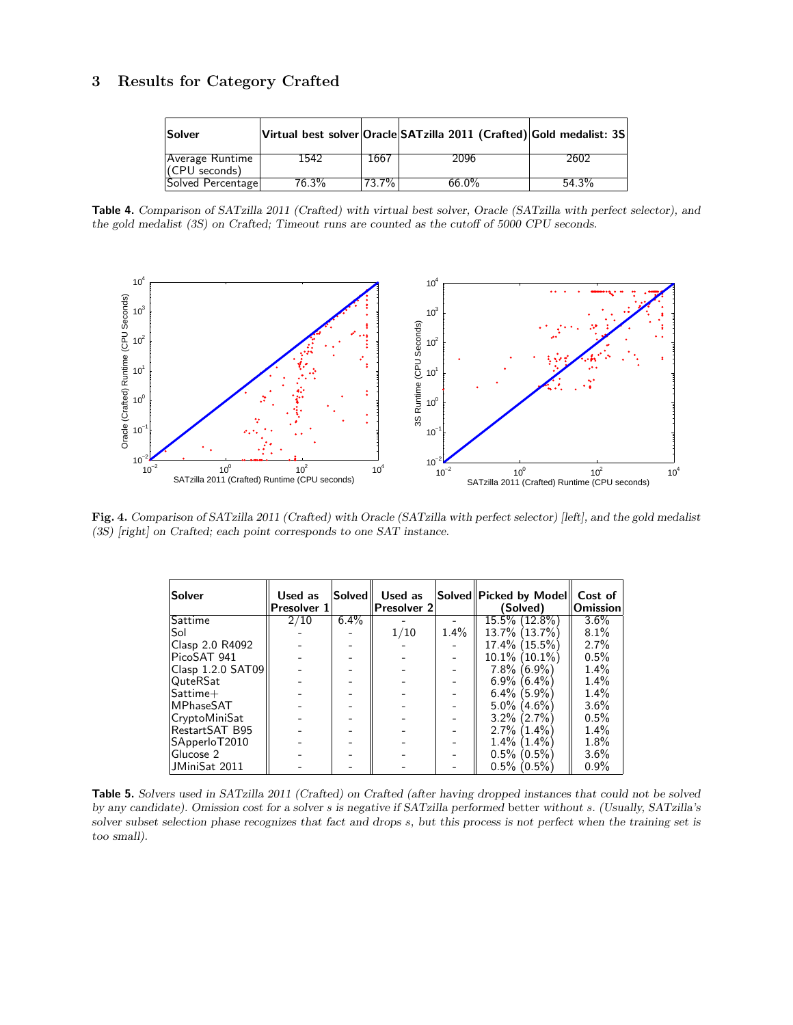## 3 Results for Category Crafted

| <b>Solver</b>                      |          |          | Virtual best solver Oracle SATzilla 2011 (Crafted) Gold medalist: 3S |       |
|------------------------------------|----------|----------|----------------------------------------------------------------------|-------|
| Average Runtime<br>$(CPU$ seconds) | 1542     | 1667     | 2096                                                                 | 2602  |
| Solved Percentage                  | $76.3\%$ | $73.7\%$ | $66.0\%$                                                             | 54.3% |

Table 4. Comparison of SATzilla 2011 (Crafted) with virtual best solver, Oracle (SATzilla with perfect selector), and the gold medalist (3S) on Crafted; Timeout runs are counted as the cutoff of 5000 CPU seconds.



Fig. 4. Comparison of SATzilla 2011 (Crafted) with Oracle (SATzilla with perfect selector) [left], and the gold medalist (3S) [right] on Crafted; each point corresponds to one SAT instance.

| Solver            | Used as<br>Presolver 1 |         | Solved   Used as<br>Presolver 2 |         | Solved  Picked by Model  <br>(Solved) | Cost of<br><b>Omission</b> |
|-------------------|------------------------|---------|---------------------------------|---------|---------------------------------------|----------------------------|
| Sattime           | 2/10                   | $6.4\%$ |                                 |         | $15.5\%$ (12.8%)                      | $3.6\%$                    |
| Sol               |                        |         | 1/10                            | $1.4\%$ | 13.7% (13.7%)                         | 8.1%                       |
| Clasp 2.0 R4092   |                        |         |                                 |         | $17.4\%$ (15.5%)                      | 2.7%                       |
| PicoSAT 941       |                        |         |                                 |         | $10.1\%$ (10.1%)                      | 0.5%                       |
| Clasp 1.2.0 SAT09 |                        |         |                                 |         | $7.8\%$ (6.9%)                        | $1.4\%$                    |
| QuteRSat          |                        |         |                                 |         | $6.9\%$ $(6.4\%)$                     | $1.4\%$                    |
| $S$ attime $+$    |                        |         |                                 |         | $6.4\%$ (5.9%)                        | 1.4%                       |
| MPhaseSAT         |                        |         |                                 |         | $5.0\%$ (4.6%)                        | $3.6\%$                    |
| CryptoMiniSat     |                        |         |                                 |         | $3.2\%$ (2.7%)                        | 0.5%                       |
| RestartSAT B95    |                        |         |                                 |         | $2.7\%$ $(1.4\%)$                     | $1.4\%$                    |
| SApperloT2010     |                        |         |                                 |         | $1.4\%$ $(1.4\%)$                     | 1.8%                       |
| Glucose 2         |                        |         |                                 |         | $0.5\%$ (0.5%)                        | $3.6\%$                    |
| JMiniSat 2011     |                        |         |                                 |         | $0.5\%$ (0.5%)                        | $0.9\%$                    |

Table 5. Solvers used in SATzilla 2011 (Crafted) on Crafted (after having dropped instances that could not be solved by any candidate). Omission cost for a solver s is negative if SATzilla performed better without s. (Usually, SATzilla's solver subset selection phase recognizes that fact and drops s, but this process is not perfect when the training set is too small).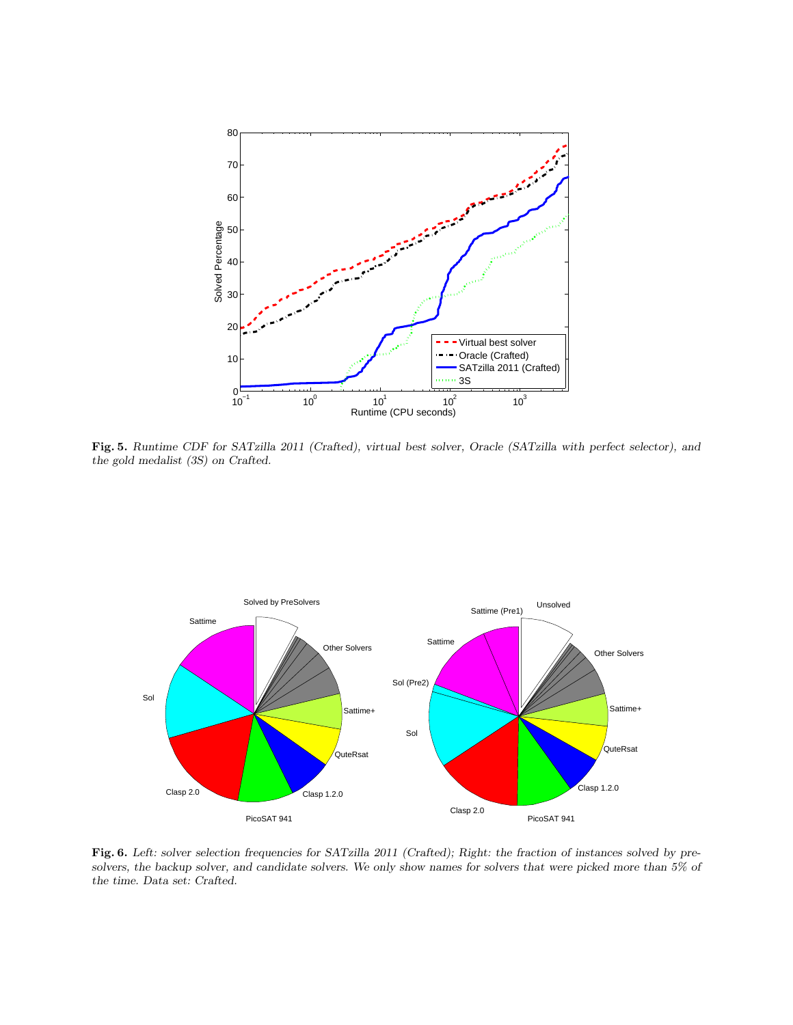

Fig. 5. Runtime CDF for SATzilla 2011 (Crafted), virtual best solver, Oracle (SATzilla with perfect selector), and the gold medalist (3S) on Crafted.



Fig. 6. Left: solver selection frequencies for SATzilla 2011 (Crafted); Right: the fraction of instances solved by presolvers, the backup solver, and candidate solvers. We only show names for solvers that were picked more than 5% of the time. Data set: Crafted.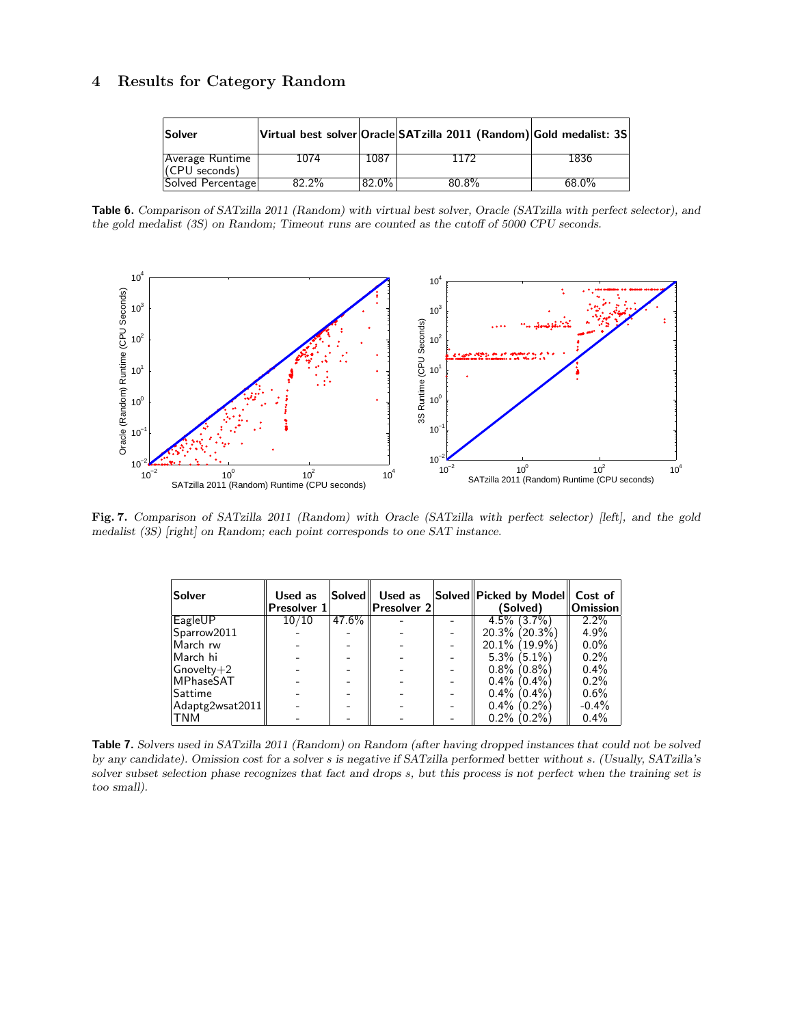## 4 Results for Category Random

| Solver             |          |          | Virtual best solver Oracle SATzilla 2011 (Random) Gold medalist: 3S |          |
|--------------------|----------|----------|---------------------------------------------------------------------|----------|
| $ Average$ Runtime | 1074     | 1087     | 1172                                                                | 1836     |
| $ $ (CPU seconds)  |          |          |                                                                     |          |
| Solved Percentage  | $82.2\%$ | $82.0\%$ | $80.8\%$                                                            | $68.0\%$ |

Table 6. Comparison of SATzilla 2011 (Random) with virtual best solver, Oracle (SATzilla with perfect selector), and the gold medalist (3S) on Random; Timeout runs are counted as the cutoff of 5000 CPU seconds.



Fig. 7. Comparison of SATzilla 2011 (Random) with Oracle (SATzilla with perfect selector) [left], and the gold medalist (3S) [right] on Random; each point corresponds to one SAT instance.

| Solver           | Used as<br>Presolver 1 | <b>Solved</b> | Used as<br>Presolver 2 | Solved Picked by Model Cost of<br>(Solved) | Omission |
|------------------|------------------------|---------------|------------------------|--------------------------------------------|----------|
| EagleUP          | 10/10                  | $47.6\%$      |                        | $4.5\%$ $(3.7\%)$                          | $2.2\%$  |
| Sparrow2011      |                        |               |                        | $20.3\%$ (20.3%)                           | $4.9\%$  |
| March rw         |                        |               |                        | $20.1\%$ (19.9%)                           | $0.0\%$  |
| March hi         |                        |               |                        | $5.3\%$ (5.1%)                             | $0.2\%$  |
| $G$ novelty $+2$ |                        |               |                        | $0.8\%$ (0.8%)                             | $0.4\%$  |
| <b>MPhaseSAT</b> |                        |               |                        | $0.4\%$ (0.4%)                             | $0.2\%$  |
| Sattime          |                        |               |                        | $0.4\%$ (0.4%)                             | $0.6\%$  |
| Adaptg2wsat2011  |                        |               |                        | $0.4\%$ (0.2%)                             | $-0.4\%$ |
| TNM              |                        |               |                        | $0.2\%$ (0.2%)                             | $0.4\%$  |

Table 7. Solvers used in SATzilla 2011 (Random) on Random (after having dropped instances that could not be solved by any candidate). Omission cost for a solver s is negative if SATzilla performed better without s. (Usually, SATzilla's solver subset selection phase recognizes that fact and drops s, but this process is not perfect when the training set is too small).